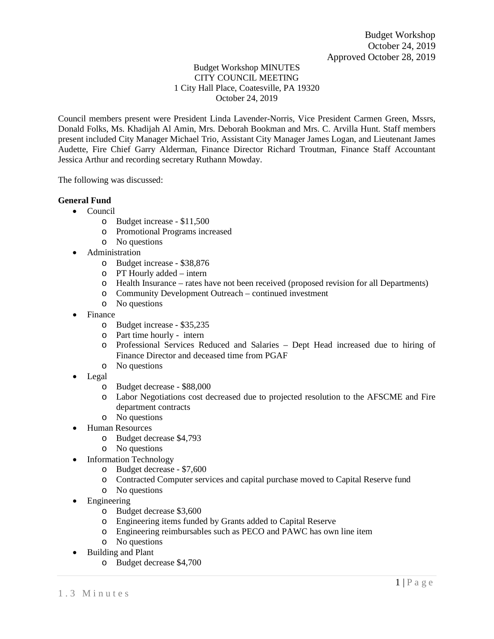## Budget Workshop MINUTES CITY COUNCIL MEETING 1 City Hall Place, Coatesville, PA 19320 October 24, 2019

Council members present were President Linda Lavender-Norris, Vice President Carmen Green, Mssrs, Donald Folks, Ms. Khadijah Al Amin, Mrs. Deborah Bookman and Mrs. C. Arvilla Hunt. Staff members present included City Manager Michael Trio, Assistant City Manager James Logan, and Lieutenant James Audette, Fire Chief Garry Alderman, Finance Director Richard Troutman, Finance Staff Accountant Jessica Arthur and recording secretary Ruthann Mowday.

The following was discussed:

## **General Fund**

- Council
	- o Budget increase \$11,500
	- o Promotional Programs increased
	- o No questions
- Administration
	- o Budget increase \$38,876
	- o PT Hourly added intern
	- o Health Insurance rates have not been received (proposed revision for all Departments)
	- o Community Development Outreach continued investment
	- o No questions
- Finance
	- o Budget increase \$35,235
	- o Part time hourly intern
	- o Professional Services Reduced and Salaries Dept Head increased due to hiring of Finance Director and deceased time from PGAF
	- o No questions
- Legal
	- o Budget decrease \$88,000
	- o Labor Negotiations cost decreased due to projected resolution to the AFSCME and Fire department contracts
	- o No questions
- Human Resources
	- o Budget decrease \$4,793
	- o No questions
- Information Technology
	- o Budget decrease \$7,600
	- o Contracted Computer services and capital purchase moved to Capital Reserve fund
	- o No questions
- Engineering
	- o Budget decrease \$3,600
	- o Engineering items funded by Grants added to Capital Reserve
	- o Engineering reimbursables such as PECO and PAWC has own line item
	- o No questions
- Building and Plant
	- o Budget decrease \$4,700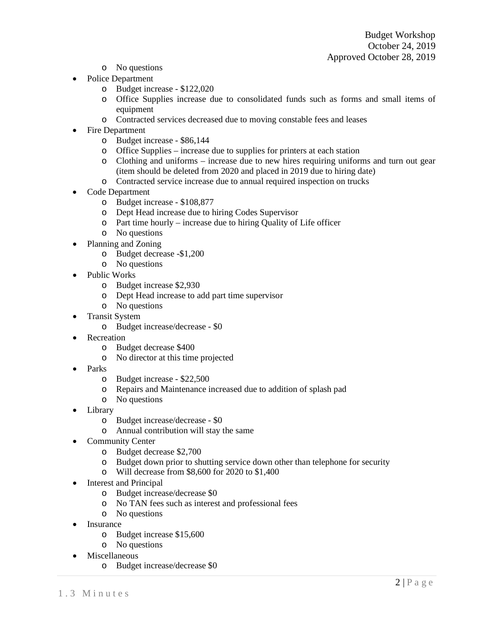- o No questions
- Police Department
	- o Budget increase \$122,020
	- o Office Supplies increase due to consolidated funds such as forms and small items of equipment
	- o Contracted services decreased due to moving constable fees and leases
- Fire Department
	- o Budget increase \$86,144
	- o Office Supplies increase due to supplies for printers at each station
	- o Clothing and uniforms increase due to new hires requiring uniforms and turn out gear (item should be deleted from 2020 and placed in 2019 due to hiring date)
	- o Contracted service increase due to annual required inspection on trucks
- Code Department
	- o Budget increase \$108,877
	- o Dept Head increase due to hiring Codes Supervisor
	- o Part time hourly increase due to hiring Quality of Life officer
	- o No questions
- Planning and Zoning
	- o Budget decrease -\$1,200
	- o No questions
- Public Works
	- o Budget increase \$2,930
	- o Dept Head increase to add part time supervisor
	- o No questions
- Transit System
	- o Budget increase/decrease \$0
- Recreation
	- o Budget decrease \$400
	- o No director at this time projected
- Parks
	- o Budget increase \$22,500
	- o Repairs and Maintenance increased due to addition of splash pad
	- o No questions
- Library
	- o Budget increase/decrease \$0
	- o Annual contribution will stay the same
- Community Center
	- o Budget decrease \$2,700
	- o Budget down prior to shutting service down other than telephone for security
	- o Will decrease from \$8,600 for 2020 to \$1,400
- Interest and Principal
	- o Budget increase/decrease \$0
	- o No TAN fees such as interest and professional fees
	- o No questions
- Insurance
	- o Budget increase \$15,600
	- o No questions
- Miscellaneous
	- o Budget increase/decrease \$0